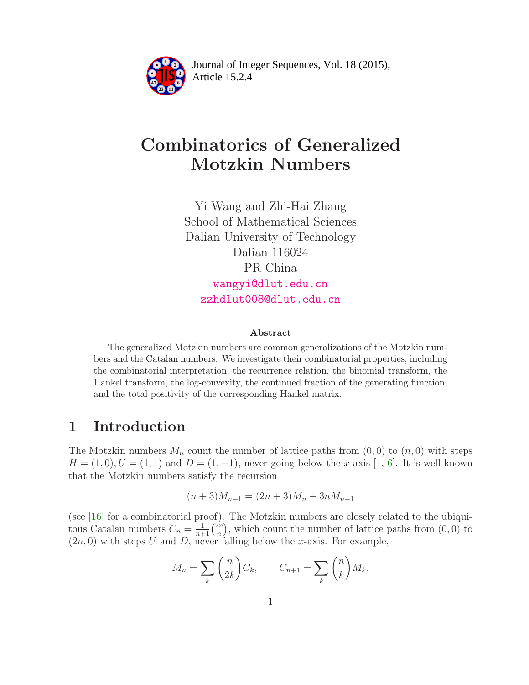

Article 15.2.4 **<sup>2</sup>** Journal of Integer Sequences, Vol. 18 (2015),

# Combinatorics of Generalized Motzkin Numbers

Yi Wang and Zhi-Hai Zhang School of Mathematical Sciences Dalian University of Technology Dalian 116024 PR China [wangyi@dlut.edu.cn](mailto:wangyi@dlut.edu.cn) [zzhdlut008@dlut.edu.cn](mailto:zzhdlut008@dlut.edu.cn)

#### Abstract

The generalized Motzkin numbers are common generalizations of the Motzkin numbers and the Catalan numbers. We investigate their combinatorial properties, including the combinatorial interpretation, the recurrence relation, the binomial transform, the Hankel transform, the log-convexity, the continued fraction of the generating function, and the total positivity of the corresponding Hankel matrix.

# 1 Introduction

The Motzkin numbers  $M_n$  count the number of lattice paths from  $(0,0)$  to  $(n,0)$  with steps  $H = (1, 0), U = (1, 1)$  and  $D = (1, -1)$ , never going below the x-axis [\[1,](#page-6-0) [6\]](#page-7-0). It is well known that the Motzkin numbers satisfy the recursion

$$
(n+3)M_{n+1} = (2n+3)M_n + 3nM_{n-1}
$$

(see [\[16\]](#page-7-1) for a combinatorial proof). The Motzkin numbers are closely related to the ubiquitous Catalan numbers  $C_n = \frac{1}{n+1} \binom{2n}{n}$  $\binom{2n}{n}$ , which count the number of lattice paths from  $(0,0)$  to  $(2n, 0)$  with steps U and D, never falling below the x-axis. For example,

$$
M_n = \sum_{k} \binom{n}{2k} C_k, \qquad C_{n+1} = \sum_{k} \binom{n}{k} M_k.
$$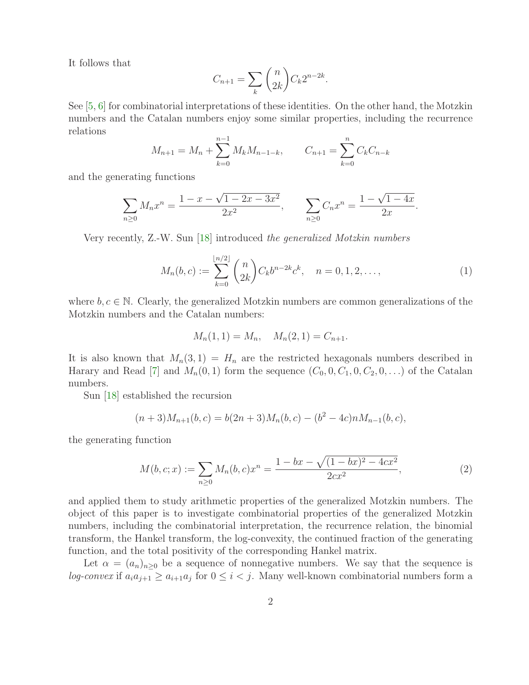It follows that

$$
C_{n+1} = \sum_{k} \binom{n}{2k} C_k 2^{n-2k}.
$$

See [\[5,](#page-6-1) [6\]](#page-7-0) for combinatorial interpretations of these identities. On the other hand, the Motzkin numbers and the Catalan numbers enjoy some similar properties, including the recurrence relations

$$
M_{n+1} = M_n + \sum_{k=0}^{n-1} M_k M_{n-1-k}, \qquad C_{n+1} = \sum_{k=0}^{n} C_k C_{n-k}
$$

and the generating functions

$$
\sum_{n\geq 0} M_n x^n = \frac{1 - x - \sqrt{1 - 2x - 3x^2}}{2x^2}, \qquad \sum_{n\geq 0} C_n x^n = \frac{1 - \sqrt{1 - 4x}}{2x}.
$$

Very recently, Z.-W. Sun [\[18\]](#page-7-2) introduced *the generalized Motzkin numbers*

$$
M_n(b,c) := \sum_{k=0}^{\lfloor n/2 \rfloor} \binom{n}{2k} C_k b^{n-2k} c^k, \quad n = 0, 1, 2, \dots,
$$
 (1)

where  $b, c \in \mathbb{N}$ . Clearly, the generalized Motzkin numbers are common generalizations of the Motzkin numbers and the Catalan numbers:

<span id="page-1-0"></span>
$$
M_n(1,1) = M_n, \quad M_n(2,1) = C_{n+1}.
$$

It is also known that  $M_n(3,1) = H_n$  are the restricted hexagonals numbers described in Harary and Read [\[7\]](#page-7-3) and  $M_n(0,1)$  form the sequence  $(C_0, 0, C_1, 0, C_2, 0, \ldots)$  of the Catalan numbers.

Sun [\[18\]](#page-7-2) established the recursion

$$
(n+3)M_{n+1}(b,c) = b(2n+3)M_n(b,c) - (b^2 - 4c)nM_{n-1}(b,c),
$$

the generating function

<span id="page-1-1"></span>
$$
M(b, c; x) := \sum_{n \ge 0} M_n(b, c) x^n = \frac{1 - bx - \sqrt{(1 - bx)^2 - 4cx^2}}{2cx^2},
$$
\n(2)

and applied them to study arithmetic properties of the generalized Motzkin numbers. The object of this paper is to investigate combinatorial properties of the generalized Motzkin numbers, including the combinatorial interpretation, the recurrence relation, the binomial transform, the Hankel transform, the log-convexity, the continued fraction of the generating function, and the total positivity of the corresponding Hankel matrix.

Let  $\alpha = (a_n)_{n\geq 0}$  be a sequence of nonnegative numbers. We say that the sequence is *log-convex* if  $a_i a_{j+1} \ge a_{i+1} a_j$  for  $0 \le i < j$ . Many well-known combinatorial numbers form a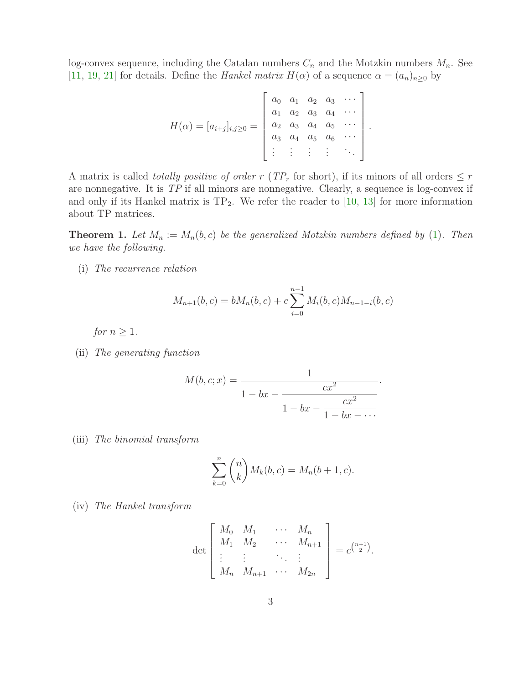log-convex sequence, including the Catalan numbers  $C_n$  and the Motzkin numbers  $M_n$ . See [\[11,](#page-7-4) [19,](#page-7-5) [21\]](#page-7-6) for details. Define the *Hankel matrix*  $H(\alpha)$  of a sequence  $\alpha = (a_n)_{n\geq 0}$  by

$$
H(\alpha) = [a_{i+j}]_{i,j \geq 0} = \begin{bmatrix} a_0 & a_1 & a_2 & a_3 & \cdots \\ a_1 & a_2 & a_3 & a_4 & \cdots \\ a_2 & a_3 & a_4 & a_5 & \cdots \\ a_3 & a_4 & a_5 & a_6 & \cdots \\ \vdots & \vdots & \vdots & \vdots & \ddots \end{bmatrix}.
$$

A matrix is called *totally positive of order* r ( $TP_r$  for short), if its minors of all orders  $\leq r$ are nonnegative. It is *TP* if all minors are nonnegative. Clearly, a sequence is log-convex if and only if its Hankel matrix is  $TP_2$ . We refer the reader to [\[10,](#page-7-7) [13\]](#page-7-8) for more information about TP matrices.

<span id="page-2-0"></span>**Theorem 1.** Let  $M_n := M_n(b, c)$  be the generalized Motzkin numbers defined by [\(1\)](#page-1-0). Then *we have the following.*

(i) *The recurrence relation*

$$
M_{n+1}(b, c) = bM_n(b, c) + c \sum_{i=0}^{n-1} M_i(b, c)M_{n-1-i}(b, c)
$$

*for*  $n \geq 1$ *.* 

(ii) *The generating function*

$$
M(b, c; x) = \cfrac{1}{1 - bx - \cfrac{cx^2}{1 - bx - \cfrac{cx^2}{1 - bx - \cdots}}}.
$$

(iii) *The binomial transform*

$$
\sum_{k=0}^{n} {n \choose k} M_k(b, c) = M_n(b+1, c).
$$

(iv) *The Hankel transform*

$$
\det \begin{bmatrix} M_0 & M_1 & \cdots & M_n \\ M_1 & M_2 & \cdots & M_{n+1} \\ \vdots & \vdots & \ddots & \vdots \\ M_n & M_{n+1} & \cdots & M_{2n} \end{bmatrix} = c^{\binom{n+1}{2}}.
$$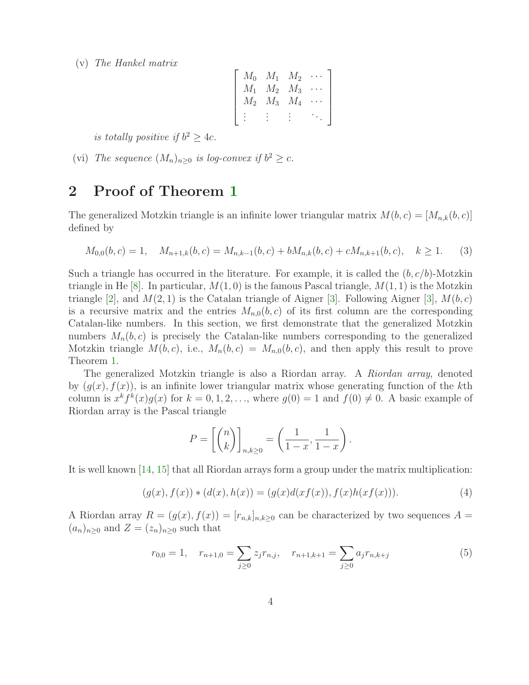(v) *The Hankel matrix*

$$
\begin{bmatrix} M_0 & M_1 & M_2 & \cdots \\ M_1 & M_2 & M_3 & \cdots \\ M_2 & M_3 & M_4 & \cdots \\ \vdots & \vdots & \vdots & \ddots \end{bmatrix}
$$

is totally positive if  $b^2 \geq 4c$ .

(vi) *The sequence*  $(M_n)_{n\geq 0}$  *is log-convex if*  $b^2 \geq c$ *.* 

### 2 Proof of Theorem [1](#page-2-0)

The generalized Motzkin triangle is an infinite lower triangular matrix  $M(b, c) = [M_{n,k}(b, c)]$ defined by

$$
M_{0,0}(b,c) = 1, \quad M_{n+1,k}(b,c) = M_{n,k-1}(b,c) + bM_{n,k}(b,c) + cM_{n,k+1}(b,c), \quad k \ge 1.
$$
 (3)

Such a triangle has occurred in the literature. For example, it is called the  $(b, c/b)$ -Motzkin triangle in He  $[8]$ . In particular,  $M(1, 0)$  is the famous Pascal triangle,  $M(1, 1)$  is the Motzkin triangle [\[2\]](#page-6-2), and  $M(2, 1)$  is the Catalan triangle of Aigner [\[3\]](#page-6-3). Following Aigner [3],  $M(b, c)$ is a recursive matrix and the entries  $M_{n,0}(b, c)$  of its first column are the corresponding Catalan-like numbers. In this section, we first demonstrate that the generalized Motzkin numbers  $M_n(b, c)$  is precisely the Catalan-like numbers corresponding to the generalized Motzkin triangle  $M(b, c)$ , i.e.,  $M_n(b, c) = M_{n,0}(b, c)$ , and then apply this result to prove Theorem [1.](#page-2-0)

The generalized Motzkin triangle is also a Riordan array. A *Riordan array*, denoted by  $(g(x), f(x))$ , is an infinite lower triangular matrix whose generating function of the kth column is  $x^k f^k(x) g(x)$  for  $k = 0, 1, 2, \ldots$ , where  $g(0) = 1$  and  $f(0) \neq 0$ . A basic example of Riordan array is the Pascal triangle

<span id="page-3-1"></span>
$$
P = \left[ \binom{n}{k} \right]_{n,k \ge 0} = \left( \frac{1}{1-x}, \frac{1}{1-x} \right).
$$

It is well known [\[14,](#page-7-10) [15\]](#page-7-11) that all Riordan arrays form a group under the matrix multiplication:

$$
(g(x), f(x)) * (d(x), h(x)) = (g(x)d(xf(x)), f(x)h(xf(x))). \qquad (4)
$$

A Riordan array  $R = (g(x), f(x)) = [r_{n,k}]_{n,k \geq 0}$  can be characterized by two sequences  $A =$  $(a_n)_{n\geq 0}$  and  $Z = (z_n)_{n\geq 0}$  such that

<span id="page-3-0"></span>
$$
r_{0,0} = 1, \quad r_{n+1,0} = \sum_{j\geq 0} z_j r_{n,j}, \quad r_{n+1,k+1} = \sum_{j\geq 0} a_j r_{n,k+j} \tag{5}
$$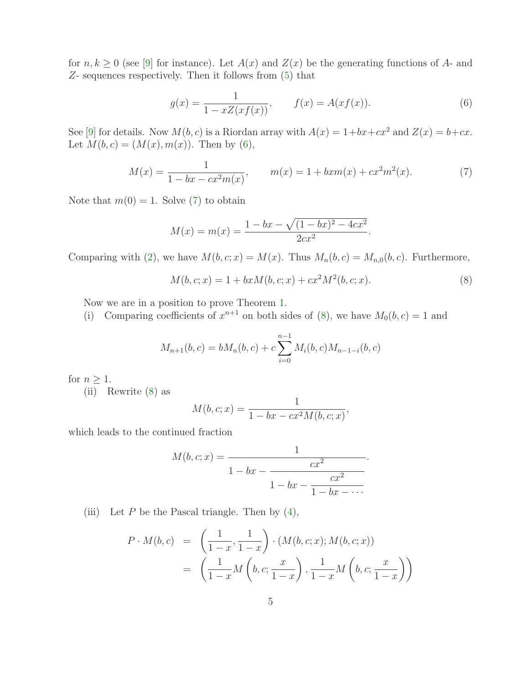for  $n, k \geq 0$  (see [\[9\]](#page-7-12) for instance). Let  $A(x)$  and  $Z(x)$  be the generating functions of A- and Z- sequences respectively. Then it follows from [\(5\)](#page-3-0) that

<span id="page-4-1"></span><span id="page-4-0"></span>
$$
g(x) = \frac{1}{1 - xZ(xf(x))}, \qquad f(x) = A(xf(x)).
$$
 (6)

See [\[9\]](#page-7-12) for details. Now  $M(b, c)$  is a Riordan array with  $A(x) = 1+bx+cx^2$  and  $Z(x) = b+cx$ . Let  $M(b, c) = (M(x), m(x))$ . Then by [\(6\)](#page-4-0),

$$
M(x) = \frac{1}{1 - bx - cx^2 m(x)}, \qquad m(x) = 1 + bxm(x) + cx^2 m^2(x). \tag{7}
$$

Note that  $m(0) = 1$ . Solve [\(7\)](#page-4-1) to obtain

$$
M(x) = m(x) = \frac{1 - bx - \sqrt{(1 - bx)^2 - 4cx^2}}{2cx^2}.
$$

Comparing with [\(2\)](#page-1-1), we have  $M(b, c; x) = M(x)$ . Thus  $M_n(b, c) = M_{n,0}(b, c)$ . Furthermore,

<span id="page-4-2"></span>
$$
M(b, c; x) = 1 + bxM(b, c; x) + cx^{2}M^{2}(b, c; x).
$$
\n(8)

Now we are in a position to prove Theorem [1.](#page-2-0)

(i) Comparing coefficients of  $x^{n+1}$  on both sides of [\(8\)](#page-4-2), we have  $M_0(b, c) = 1$  and

$$
M_{n+1}(b, c) = bM_n(b, c) + c \sum_{i=0}^{n-1} M_i(b, c)M_{n-1-i}(b, c)
$$

for  $n \geq 1$ .

(ii) Rewrite [\(8\)](#page-4-2) as

$$
M(b, c; x) = \frac{1}{1 - bx - cx^2 M(b, c; x)},
$$

which leads to the continued fraction

$$
M(b, c; x) = \cfrac{1}{1 - bx - \cfrac{cx^2}{1 - bx - \cfrac{cx^2}{1 - bx - \cdots}}}.
$$

(iii) Let  $P$  be the Pascal triangle. Then by  $(4)$ ,

$$
P \cdot M(b, c) = \left(\frac{1}{1-x}, \frac{1}{1-x}\right) \cdot (M(b, c; x); M(b, c; x))
$$
  
=  $\left(\frac{1}{1-x}M\left(b, c; \frac{x}{1-x}\right), \frac{1}{1-x}M\left(b, c; \frac{x}{1-x}\right)\right)$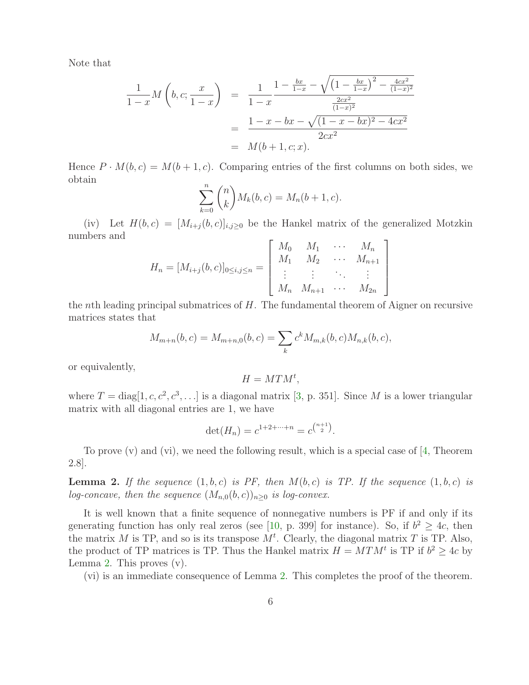Note that

$$
\frac{1}{1-x}M\left(b,c;\frac{x}{1-x}\right) = \frac{1}{1-x}\frac{1-\frac{bx}{1-x} - \sqrt{\left(1-\frac{bx}{1-x}\right)^2 - \frac{4cx^2}{(1-x)^2}}}{\frac{2cx^2}{(1-x)^2}}
$$
\n
$$
= \frac{1-x - bx - \sqrt{(1-x - bx)^2 - 4cx^2}}{2cx^2}
$$
\n
$$
= M(b+1,c;x).
$$

Hence  $P \cdot M(b, c) = M(b + 1, c)$ . Comparing entries of the first columns on both sides, we obtain

$$
\sum_{k=0}^{n} {n \choose k} M_k(b,c) = M_n(b+1,c).
$$

(iv) Let  $H(b, c) = [M_{i+j}(b, c)]_{i,j \geq 0}$  be the Hankel matrix of the generalized Motzkin numbers and

$$
H_n = [M_{i+j}(b, c)]_{0 \le i, j \le n} = \begin{bmatrix} M_0 & M_1 & \cdots & M_n \\ M_1 & M_2 & \cdots & M_{n+1} \\ \vdots & \vdots & \ddots & \vdots \\ M_n & M_{n+1} & \cdots & M_{2n} \end{bmatrix}
$$

the *nth* leading principal submatrices of  $H$ . The fundamental theorem of Aigner on recursive matrices states that

$$
M_{m+n}(b,c) = M_{m+n,0}(b,c) = \sum_{k} c^{k} M_{m,k}(b,c) M_{n,k}(b,c),
$$

or equivalently,

$$
H = M T M^t,
$$

where  $T = \text{diag}[1, c, c^2, c^3, \ldots]$  is a diagonal matrix [\[3,](#page-6-3) p. 351]. Since M is a lower triangular matrix with all diagonal entries are 1, we have

$$
\det(H_n) = c^{1+2+\dots+n} = c^{\binom{n+1}{2}}.
$$

<span id="page-5-0"></span>To prove  $(v)$  and  $(vi)$ , we need the following result, which is a special case of [\[4,](#page-6-4) Theorem 2.8].

**Lemma 2.** If the sequence  $(1, b, c)$  is PF, then  $M(b, c)$  is TP. If the sequence  $(1, b, c)$  is *log-concave, then the sequence*  $(M_{n,0}(b, c))_{n>0}$  *is log-convex.* 

It is well known that a finite sequence of nonnegative numbers is PF if and only if its generating function has only real zeros (see [\[10,](#page-7-7) p. 399] for instance). So, if  $b^2 \geq 4c$ , then the matrix M is TP, and so is its transpose  $M<sup>t</sup>$ . Clearly, the diagonal matrix T is TP. Also, the product of TP matrices is TP. Thus the Hankel matrix  $H = M T M^t$  is TP if  $b^2 \geq 4c$  by Lemma [2.](#page-5-0) This proves (v).

(vi) is an immediate consequence of Lemma [2.](#page-5-0) This completes the proof of the theorem.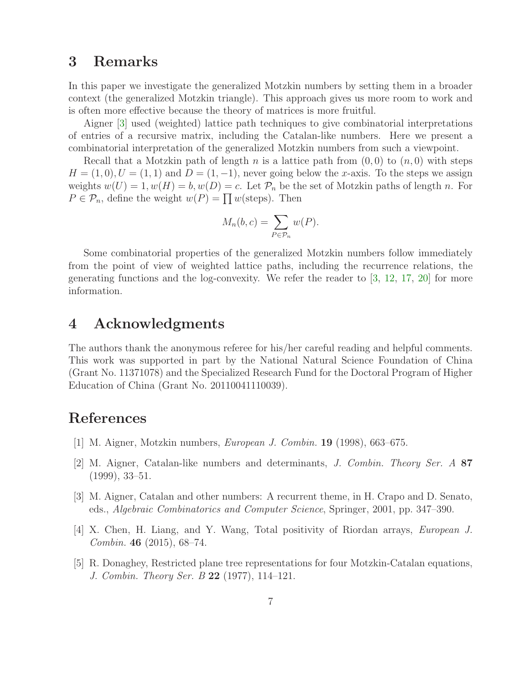#### 3 Remarks

In this paper we investigate the generalized Motzkin numbers by setting them in a broader context (the generalized Motzkin triangle). This approach gives us more room to work and is often more effective because the theory of matrices is more fruitful.

Aigner [\[3\]](#page-6-3) used (weighted) lattice path techniques to give combinatorial interpretations of entries of a recursive matrix, including the Catalan-like numbers. Here we present a combinatorial interpretation of the generalized Motzkin numbers from such a viewpoint.

Recall that a Motzkin path of length n is a lattice path from  $(0,0)$  to  $(n,0)$  with steps  $H = (1, 0), U = (1, 1)$  and  $D = (1, -1)$ , never going below the x-axis. To the steps we assign weights  $w(U) = 1, w(H) = b, w(D) = c$ . Let  $\mathcal{P}_n$  be the set of Motzkin paths of length n. For  $P \in \mathcal{P}_n$ , define the weight  $w(P) = \prod w(\text{steps})$ . Then

$$
M_n(b,c) = \sum_{P \in \mathcal{P}_n} w(P).
$$

Some combinatorial properties of the generalized Motzkin numbers follow immediately from the point of view of weighted lattice paths, including the recurrence relations, the generating functions and the log-convexity. We refer the reader to  $\left[3, 12, 17, 20\right]$  $\left[3, 12, 17, 20\right]$  $\left[3, 12, 17, 20\right]$  $\left[3, 12, 17, 20\right]$  $\left[3, 12, 17, 20\right]$  for more information.

#### 4 Acknowledgments

The authors thank the anonymous referee for his/her careful reading and helpful comments. This work was supported in part by the National Natural Science Foundation of China (Grant No. 11371078) and the Specialized Research Fund for the Doctoral Program of Higher Education of China (Grant No. 20110041110039).

## <span id="page-6-0"></span>References

- <span id="page-6-2"></span>[1] M. Aigner, Motzkin numbers, *European J. Combin.* 19 (1998), 663–675.
- [2] M. Aigner, Catalan-like numbers and determinants, *J. Combin. Theory Ser. A* 87 (1999), 33–51.
- <span id="page-6-4"></span><span id="page-6-3"></span>[3] M. Aigner, Catalan and other numbers: A recurrent theme, in H. Crapo and D. Senato, eds., *Algebraic Combinatorics and Computer Science*, Springer, 2001, pp. 347–390.
- <span id="page-6-1"></span>[4] X. Chen, H. Liang, and Y. Wang, Total positivity of Riordan arrays, *European J. Combin.* 46 (2015), 68–74.
- [5] R. Donaghey, Restricted plane tree representations for four Motzkin-Catalan equations, *J. Combin. Theory Ser. B* 22 (1977), 114–121.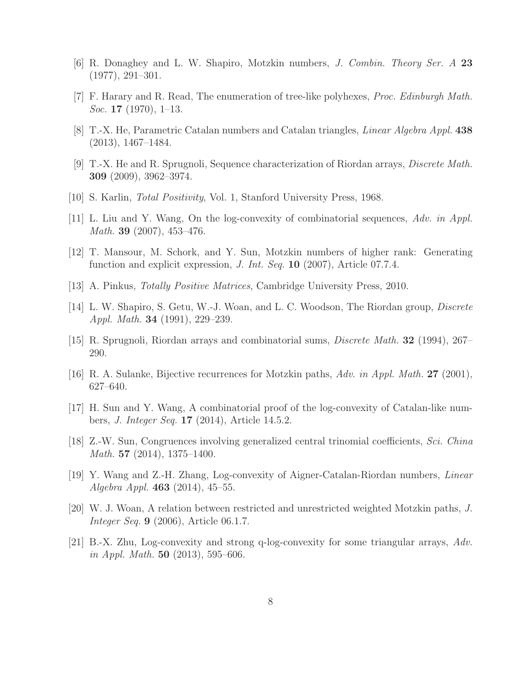- <span id="page-7-3"></span><span id="page-7-0"></span>[6] R. Donaghey and L. W. Shapiro, Motzkin numbers, *J. Combin. Theory Ser. A* 23 (1977), 291–301.
- <span id="page-7-9"></span>[7] F. Harary and R. Read, The enumeration of tree-like polyhexes, *Proc. Edinburgh Math. Soc.* 17 (1970), 1–13.
- <span id="page-7-12"></span>[8] T.-X. He, Parametric Catalan numbers and Catalan triangles, *Linear Algebra Appl.* 438 (2013), 1467–1484.
- <span id="page-7-7"></span>[9] T.-X. He and R. Sprugnoli, Sequence characterization of Riordan arrays, *Discrete Math.* 309 (2009), 3962–3974.
- <span id="page-7-4"></span>[10] S. Karlin, *Total Positivity*, Vol. 1, Stanford University Press, 1968.
- <span id="page-7-13"></span>[11] L. Liu and Y. Wang, On the log-convexity of combinatorial sequences, *Adv. in Appl. Math.* 39 (2007), 453–476.
- <span id="page-7-8"></span>[12] T. Mansour, M. Schork, and Y. Sun, Motzkin numbers of higher rank: Generating function and explicit expression, *J. Int. Seq.* 10 (2007), Article 07.7.4.
- <span id="page-7-10"></span>[13] A. Pinkus, *Totally Positive Matrices*, Cambridge University Press, 2010.
- <span id="page-7-11"></span>[14] L. W. Shapiro, S. Getu, W.-J. Woan, and L. C. Woodson, The Riordan group, *Discrete Appl. Math.* 34 (1991), 229–239.
- <span id="page-7-1"></span>[15] R. Sprugnoli, Riordan arrays and combinatorial sums, *Discrete Math.* 32 (1994), 267– 290.
- <span id="page-7-14"></span>[16] R. A. Sulanke, Bijective recurrences for Motzkin paths, *Adv. in Appl. Math.* 27 (2001), 627–640.
- [17] H. Sun and Y. Wang, A combinatorial proof of the log-convexity of Catalan-like numbers, *J. Integer Seq.* 17 (2014), Article 14.5.2.
- <span id="page-7-2"></span>[18] Z.-W. Sun, Congruences involving generalized central trinomial coefficients, *Sci. China Math.* 57 (2014), 1375–1400.
- <span id="page-7-5"></span>[19] Y. Wang and Z.-H. Zhang, Log-convexity of Aigner-Catalan-Riordan numbers, *Linear Algebra Appl.* 463 (2014), 45–55.
- <span id="page-7-15"></span>[20] W. J. Woan, A relation between restricted and unrestricted weighted Motzkin paths, *J. Integer Seq.* 9 (2006), Article 06.1.7.
- <span id="page-7-6"></span>[21] B.-X. Zhu, Log-convexity and strong q-log-convexity for some triangular arrays, *Adv. in Appl. Math.* 50 (2013), 595–606.